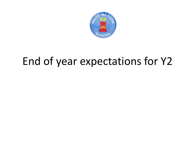

## End of year expectations for Y2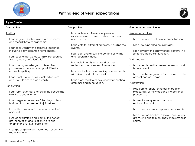

## **Writing end of year expectations**



| Composition<br><b>Transcription</b><br><b>Grammar and punctuation</b><br>• I can write narratives about personal<br>Spelling<br>Sentence structure<br>experiences and those of others, both real<br>and fictional.<br>I can use subordination and co-ordination.<br>I can segment spoken words into phonemes<br>$\bullet$<br>and record these as graphemes.<br>I can write for different purposes, including real<br>I can use expanded noun phrases.<br>$\bullet$<br>I can spell words with alternatives spellings,<br>events.<br>including a few common homophones.<br>I can say how the grammatical patterns in a<br>I can plan and discuss the content of writing<br>sentence indicate its function.<br>and record my ideas.<br>I can spell longer words using suffixes such as<br>'ment', 'ness', 'ful', 'less', 'ly'.<br>Text structure<br>I am able to orally rehearse structured<br>$\bullet$<br>I can use my knowledge of alternative<br>sentences or sequences of sentences.<br>I consistently use the present tense and past<br>phonemes to narrow down possibilities for<br>tense correctly.<br>I can evaluate my own writing independently,<br>accurate spelling.<br>$\bullet$<br>with friends and with an adult.<br>• I can identify phonemes in unfamiliar words<br>present and past tense.<br>and use syllables to divide words.<br>I can proof-read to check for errors in spelling,<br>$\bullet$<br>grammar and punctuation.<br>Punctuation<br>Handwriting<br>I use capital letters for names of people,<br>I can form lower-case letters of the correct size<br>places, day of the week and the personal<br>relative to one another.<br>pronoun 'l'.<br>I can begin to use some of the diagonal and<br>I correctly use question marks and<br>horizontal strokes needed to join letters.<br>exclamation marks, | A year 2 writer |  |                                                                                                   |  |
|----------------------------------------------------------------------------------------------------------------------------------------------------------------------------------------------------------------------------------------------------------------------------------------------------------------------------------------------------------------------------------------------------------------------------------------------------------------------------------------------------------------------------------------------------------------------------------------------------------------------------------------------------------------------------------------------------------------------------------------------------------------------------------------------------------------------------------------------------------------------------------------------------------------------------------------------------------------------------------------------------------------------------------------------------------------------------------------------------------------------------------------------------------------------------------------------------------------------------------------------------------------------------------------------------------------------------------------------------------------------------------------------------------------------------------------------------------------------------------------------------------------------------------------------------------------------------------------------------------------------------------------------------------------------------------------------------------------------------------------------------------------------------------------------------------------------------------|-----------------|--|---------------------------------------------------------------------------------------------------|--|
|                                                                                                                                                                                                                                                                                                                                                                                                                                                                                                                                                                                                                                                                                                                                                                                                                                                                                                                                                                                                                                                                                                                                                                                                                                                                                                                                                                                                                                                                                                                                                                                                                                                                                                                                                                                                                                  |                 |  |                                                                                                   |  |
| I show that I know which letters are best left<br>I can use commas to separate items in a list.<br>unjoined.<br>I can use apostrophes to show where letters<br>$\bullet$<br>I use capital letters and digits of the correct<br>size, orientation and relationship to one<br>nouns.<br>another and to lower case letters.<br>I use spacing between words that reflects the<br>size of the letters.                                                                                                                                                                                                                                                                                                                                                                                                                                                                                                                                                                                                                                                                                                                                                                                                                                                                                                                                                                                                                                                                                                                                                                                                                                                                                                                                                                                                                                |                 |  | I can use the progressive forms of verbs in the<br>are missing and to mark singular possession in |  |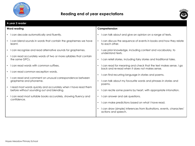

## **Reading end of year expectations**



| A year 2 reader                                                                                                          |                                                                                                                                                           |  |  |
|--------------------------------------------------------------------------------------------------------------------------|-----------------------------------------------------------------------------------------------------------------------------------------------------------|--|--|
| <b>Word reading</b>                                                                                                      | Comprehension                                                                                                                                             |  |  |
| I can decode automatically and fluently.                                                                                 | I can talk about and give an opinion on a range of texts.<br>$\bullet$                                                                                    |  |  |
| I can blend sounds in words that contain the graphemes we have<br>$\bullet$<br>learnt.                                   | I can discuss the sequence of events in books and how they relate<br>$\bullet$<br>to each other.                                                          |  |  |
| I can recognise and read alternative sounds for graphemes.                                                               | I use prior knowledge, including context and vocabulary, to<br>$\bullet$<br>understand texts.                                                             |  |  |
| I can read accurately words of two or more syllables that contain<br>$\bullet$<br>the same GPCs.                         | I can retell stories, including fairy stories and traditional tales.<br>$\bullet$                                                                         |  |  |
| I can read words with common suffixes.<br>$\bullet$                                                                      | I can read for meaning and check that the text makes sense. I go<br>$\bullet$<br>back and re-read when it does not makes sense.                           |  |  |
| I can read common exception words.<br>$\bullet$                                                                          |                                                                                                                                                           |  |  |
| I can read and comment on unusual correspondence between<br>grapheme and phoneme.                                        | I can find recurring language in stories and poems.<br>$\bullet$<br>I can talk about my favourite words and phrases in stories and<br>$\bullet$<br>poems. |  |  |
| I read most words quickly and accurately when I have read them<br>$\bullet$<br>before without sounding out and blending. | I can recite some poems by heart, with appropriate intonation.<br>$\bullet$                                                                               |  |  |
| I can read most suitable books accurately, showing fluency and<br>$\bullet$<br>confidence.                               | I can answer and ask questions.<br>$\bullet$                                                                                                              |  |  |
|                                                                                                                          | I can make predictions based on what I have read.<br>$\bullet$                                                                                            |  |  |
|                                                                                                                          | I can draw (simple) inferences from illustrations, events, characters'<br>actions and speech.                                                             |  |  |
|                                                                                                                          |                                                                                                                                                           |  |  |